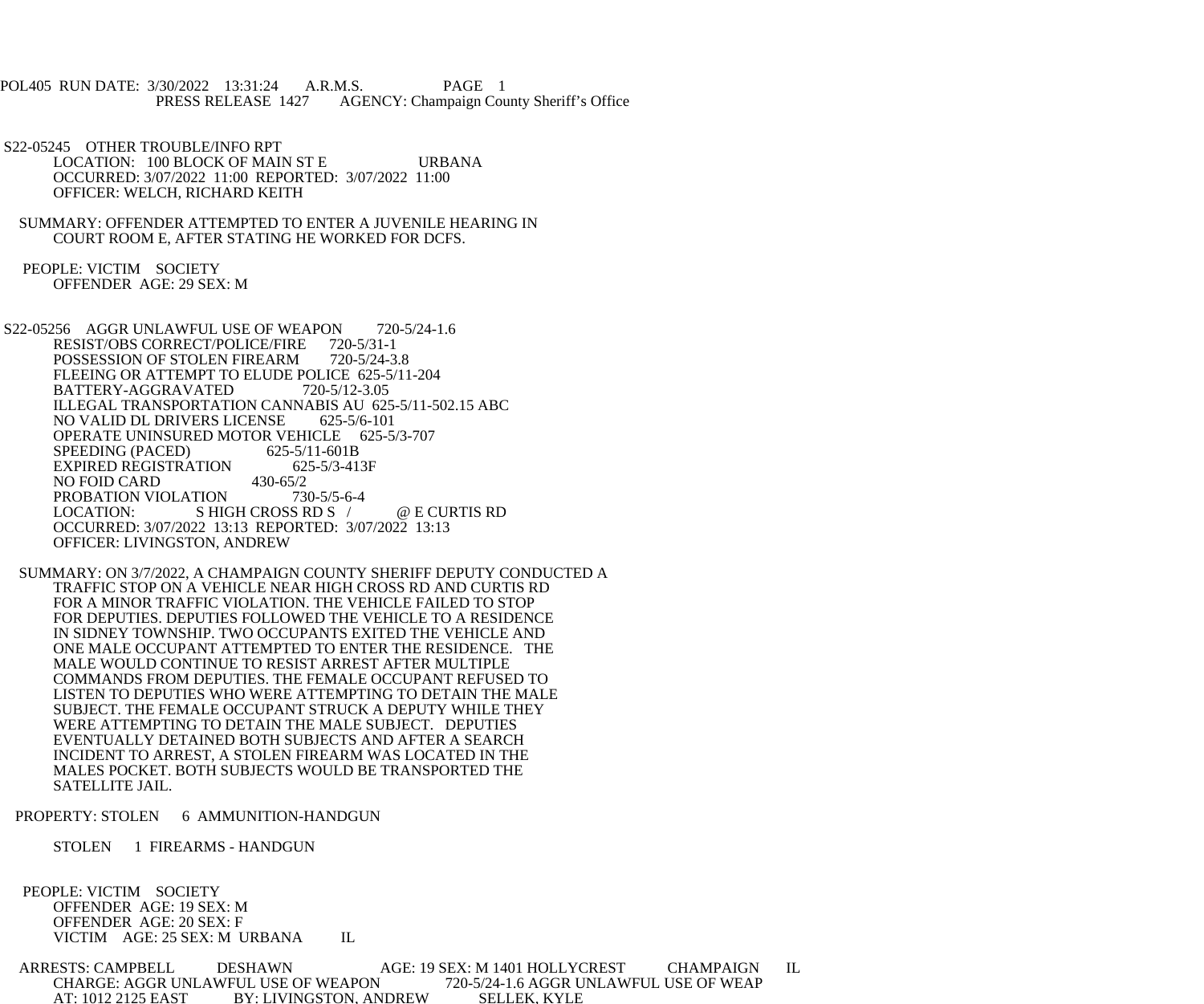POL405 RUN DATE: 3/30/2022 13:31:24 A.R.M.S. PAGE 1 PRESS RELEASE 1427 AGENCY: Champaign County Sheriff's Office

 S22-05245 OTHER TROUBLE/INFO RPT LOCATION: 100 BLOCK OF MAIN ST E URBANA OCCURRED: 3/07/2022 11:00 REPORTED: 3/07/2022 11:00 OFFICER: WELCH, RICHARD KEITH

 SUMMARY: OFFENDER ATTEMPTED TO ENTER A JUVENILE HEARING IN COURT ROOM E, AFTER STATING HE WORKED FOR DCFS.

 PEOPLE: VICTIM SOCIETY OFFENDER AGE: 29 SEX: M

S22-05256 AGGR UNLAWFUL USE OF WEAPON 720-5/24-1.6 RESIST/OBS CORRECT/POLICE/FIRE 720-5/31-1<br>POSSESSION OF STOLEN FIREARM 720-5/24-3.8 POSSESSION OF STOLEN FIREARM FLEEING OR ATTEMPT TO ELUDE POLICE 625-5/11-204 BATTERY-AGGRAVATED 720-5/12-3.05 ILLEGAL TRANSPORTATION CANNABIS AU 625-5/11-502.15 ABC NO VALID DL DRIVERS LICENSE 625-5/6-101 OPERATE UNINSURED MOTOR VEHICLE 625-5/3-707<br>SPEEDING (PACED) 625-5/11-601B SPEEDING (PACED) 625-5/11-601B<br>EXPIRED REGISTRATION 625-5/3-413F EXPIRED REGISTRATION 62.<br>NO FOID CARD 430-65/2 NO FOID CARD 430-65/2<br>PROBATION VIOLATION 730-5/5-6-4 PROBATION VIOLATION LOCATION: SHIGH CROSS RD S / @ E CURTIS RD OCCURRED: 3/07/2022 13:13 REPORTED: 3/07/2022 13:13 OFFICER: LIVINGSTON, ANDREW

 SUMMARY: ON 3/7/2022, A CHAMPAIGN COUNTY SHERIFF DEPUTY CONDUCTED A TRAFFIC STOP ON A VEHICLE NEAR HIGH CROSS RD AND CURTIS RD FOR A MINOR TRAFFIC VIOLATION. THE VEHICLE FAILED TO STOP FOR DEPUTIES. DEPUTIES FOLLOWED THE VEHICLE TO A RESIDENCE IN SIDNEY TOWNSHIP. TWO OCCUPANTS EXITED THE VEHICLE AND ONE MALE OCCUPANT ATTEMPTED TO ENTER THE RESIDENCE. THE MALE WOULD CONTINUE TO RESIST ARREST AFTER MULTIPLE COMMANDS FROM DEPUTIES. THE FEMALE OCCUPANT REFUSED TO LISTEN TO DEPUTIES WHO WERE ATTEMPTING TO DETAIN THE MALE SUBJECT. THE FEMALE OCCUPANT STRUCK A DEPUTY WHILE THEY WERE ATTEMPTING TO DETAIN THE MALE SUBJECT. DEPUTIES EVENTUALLY DETAINED BOTH SUBJECTS AND AFTER A SEARCH INCIDENT TO ARREST, A STOLEN FIREARM WAS LOCATED IN THE MALES POCKET. BOTH SUBJECTS WOULD BE TRANSPORTED THE SATELLITE JAIL.

PROPERTY: STOLEN 6 AMMUNITION-HANDGUN

STOLEN 1 FIREARMS - HANDGUN

 PEOPLE: VICTIM SOCIETY OFFENDER AGE: 19 SEX: M OFFENDER AGE: 20 SEX: F VICTIM AGE: 25 SEX: M URBANA IL

 ARRESTS: CAMPBELL DESHAWN AGE: 19 SEX: M 1401 HOLLYCREST CHAMPAIGN IL CHARGE: AGGR UNLAWFUL USE OF WEAPON AT: 1012 2125 EAST BY: LIVINGSTON, ANDREW SELLEK, KYLE